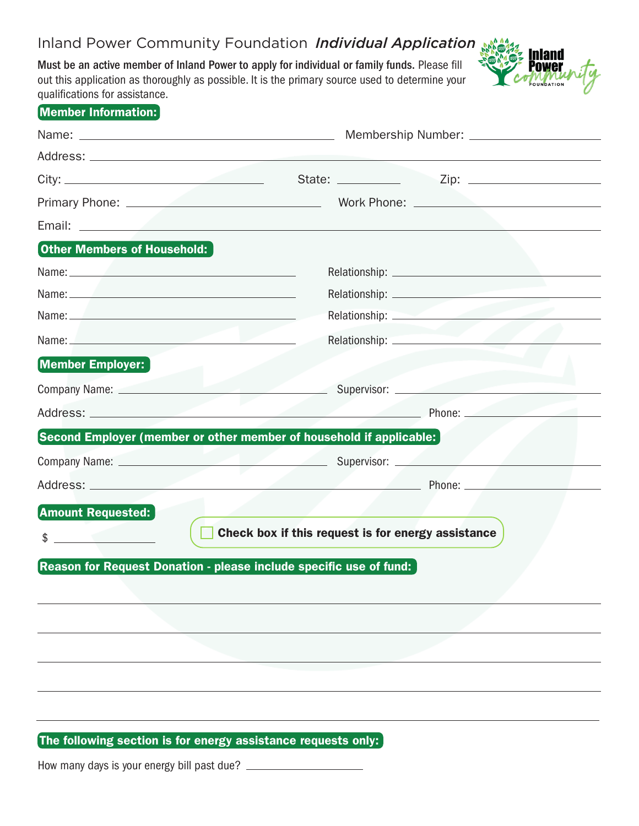## Inland Power Community Foundation *Individual Application*

Must be an active member of Inland Power to apply for individual or family funds. Please fill out this application as thoroughly as possible. It is the primary source used to determine your qualifications for assistance.



| Member Information:                                                                                                                                                                                                                  |                                                                                                                                                                                                                                |  |  |
|--------------------------------------------------------------------------------------------------------------------------------------------------------------------------------------------------------------------------------------|--------------------------------------------------------------------------------------------------------------------------------------------------------------------------------------------------------------------------------|--|--|
|                                                                                                                                                                                                                                      |                                                                                                                                                                                                                                |  |  |
|                                                                                                                                                                                                                                      |                                                                                                                                                                                                                                |  |  |
|                                                                                                                                                                                                                                      |                                                                                                                                                                                                                                |  |  |
|                                                                                                                                                                                                                                      |                                                                                                                                                                                                                                |  |  |
| Email: <u>Email: Email: Email: Email: Email: Email: Email: Email: Email: Email: Email: Email: Email: Email: Email: Email: Email: Email: Email: Email: Email: Email: Email: Email: Email: Email: Email: Email: Email: Email: Emai</u> |                                                                                                                                                                                                                                |  |  |
| <b>Other Members of Household:</b>                                                                                                                                                                                                   |                                                                                                                                                                                                                                |  |  |
|                                                                                                                                                                                                                                      |                                                                                                                                                                                                                                |  |  |
|                                                                                                                                                                                                                                      |                                                                                                                                                                                                                                |  |  |
| Name: 2008 - 2008 - 2010 - 2010 - 2010 - 2010 - 2010 - 2011 - 2012 - 2014 - 2014 - 2014 - 2014 - 2014 - 2014 -                                                                                                                       |                                                                                                                                                                                                                                |  |  |
| Name: Name and the second contract of the second contract of the second contract of the second contract of the second contract of the second contract of the second contract of the second contract of the second contract of        |                                                                                                                                                                                                                                |  |  |
| Member Employer:                                                                                                                                                                                                                     |                                                                                                                                                                                                                                |  |  |
| Company Name: 2000                                                                                                                                                                                                                   |                                                                                                                                                                                                                                |  |  |
|                                                                                                                                                                                                                                      | Address: Phone: Phone: Phone: Phone: Phone: Phone: Phone: Phone: Phone: Phone: Phone: Phone: Phone: Phone: Phone: Phone: Phone: Phone: Phone: Phone: Phone: Phone: Phone: Phone: Phone: Phone: Phone: Phone: Phone: Phone: Pho |  |  |
|                                                                                                                                                                                                                                      | Second Employer (member or other member of household if applicable: $\rceil$                                                                                                                                                   |  |  |
|                                                                                                                                                                                                                                      |                                                                                                                                                                                                                                |  |  |
|                                                                                                                                                                                                                                      |                                                                                                                                                                                                                                |  |  |
| <b>Amount Requested:</b>                                                                                                                                                                                                             |                                                                                                                                                                                                                                |  |  |
|                                                                                                                                                                                                                                      | Check box if this request is for energy assistance                                                                                                                                                                             |  |  |
| \$                                                                                                                                                                                                                                   |                                                                                                                                                                                                                                |  |  |

The following section is for energy assistance requests only:

How many days is your energy bill past due?  $\_\_$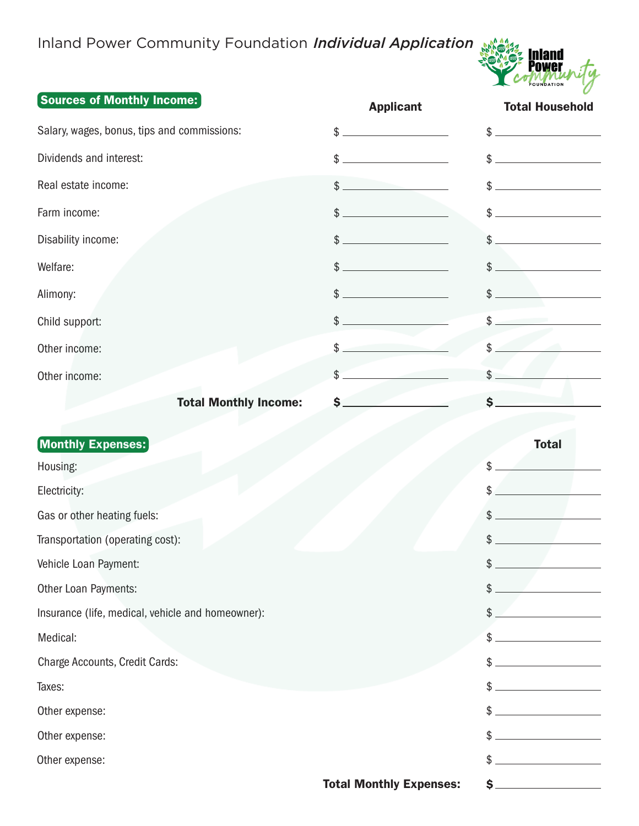## Inland Power Community Foundation *Individual Application*



## Sources of Monthly Income:

| <u>andrea of molities incomet</u>                 | <b>Applicant</b>               | <b>Total Household</b> |
|---------------------------------------------------|--------------------------------|------------------------|
| Salary, wages, bonus, tips and commissions:       | $\frac{1}{2}$                  | $\frac{1}{2}$          |
| Dividends and interest:                           | \$                             | $\frac{1}{2}$          |
| Real estate income:                               | $$^{\circ}$                    |                        |
| Farm income:                                      | $\frac{1}{2}$                  | $\frac{1}{2}$          |
| Disability income:                                | $\frac{1}{2}$                  | \$                     |
| Welfare:                                          | $\frac{1}{2}$                  | $\frac{1}{2}$          |
| Alimony:                                          | $\frac{1}{2}$                  | \$                     |
| Child support:                                    | $\frac{1}{2}$                  | \$                     |
| Other income:                                     | \$                             | \$                     |
| Other income:                                     | \$                             | \$                     |
| <b>Total Monthly Income:</b>                      | \$.                            | \$                     |
| <b>Monthly Expenses:</b>                          |                                | <b>Total</b>           |
| Housing:                                          |                                | \$                     |
| Electricity:                                      |                                | \$                     |
| Gas or other heating fuels:                       |                                | \$                     |
| Transportation (operating cost):                  |                                | \$                     |
| Vehicle Loan Payment:                             |                                | $\frac{1}{2}$          |
| Other Loan Payments:                              |                                | \$                     |
| Insurance (life, medical, vehicle and homeowner): |                                | \$                     |
| Medical:                                          |                                | \$                     |
| Charge Accounts, Credit Cards:                    |                                | \$                     |
| Taxes:                                            |                                | \$                     |
| Other expense:                                    |                                | \$                     |
| Other expense:                                    |                                | \$                     |
| Other expense:                                    |                                | \$                     |
|                                                   | <b>Total Monthly Expenses:</b> | $s_{-}$                |